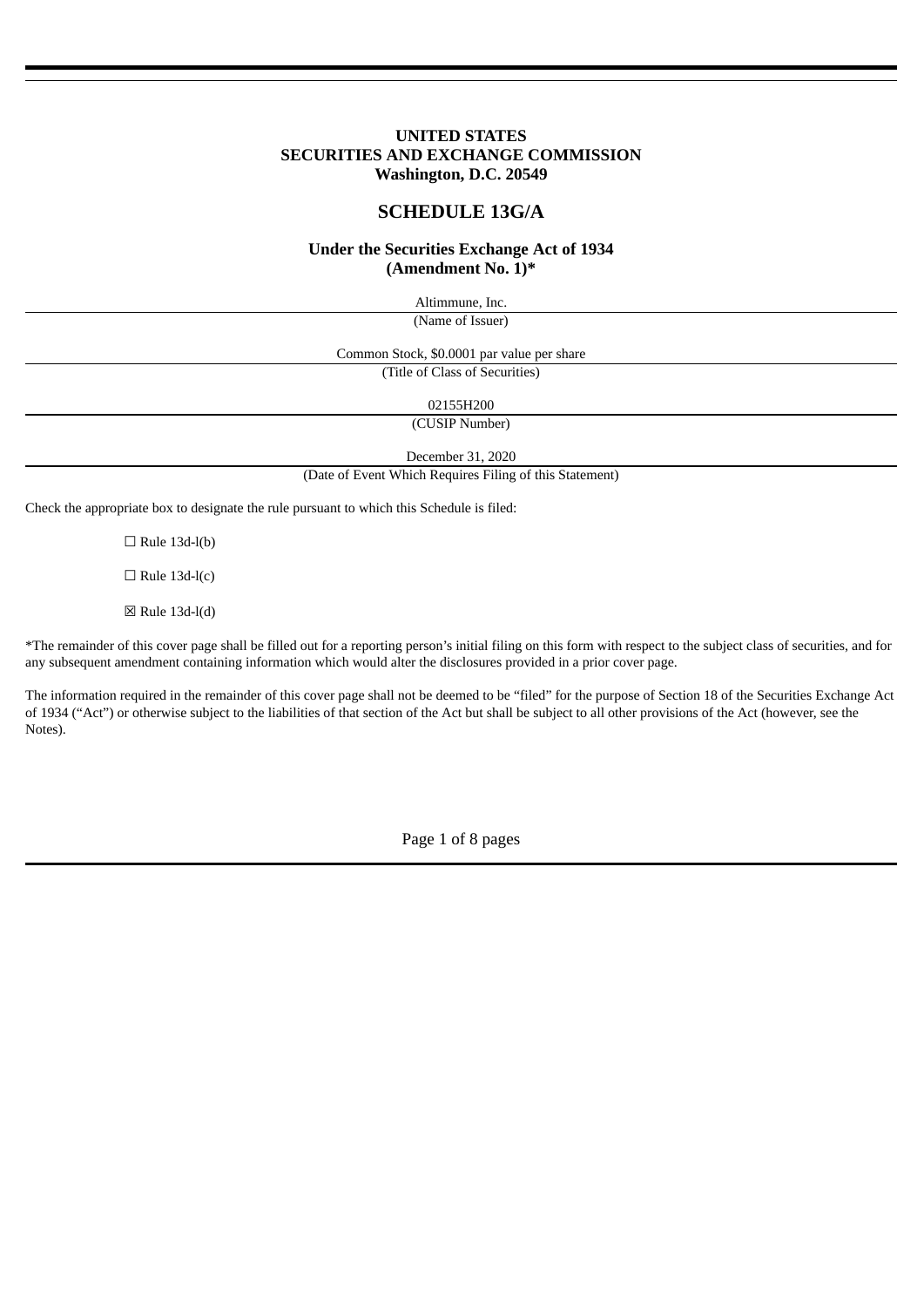# **UNITED STATES SECURITIES AND EXCHANGE COMMISSION Washington, D.C. 20549**

# **SCHEDULE 13G/A**

# **Under the Securities Exchange Act of 1934 (Amendment No. 1)\***

Altimmune, Inc. (Name of Issuer)

Common Stock, \$0.0001 par value per share

(Title of Class of Securities)

02155H200

(CUSIP Number)

December 31, 2020

(Date of Event Which Requires Filing of this Statement)

Check the appropriate box to designate the rule pursuant to which this Schedule is filed:

 $\Box$  Rule 13d-l(b)

 $\Box$  Rule 13d-l(c)

 $\boxtimes$  Rule 13d-l(d)

\*The remainder of this cover page shall be filled out for a reporting person's initial filing on this form with respect to the subject class of securities, and for any subsequent amendment containing information which would alter the disclosures provided in a prior cover page.

The information required in the remainder of this cover page shall not be deemed to be "filed" for the purpose of Section 18 of the Securities Exchange Act of 1934 ("Act") or otherwise subject to the liabilities of that section of the Act but shall be subject to all other provisions of the Act (however, see the Notes).

Page 1 of 8 pages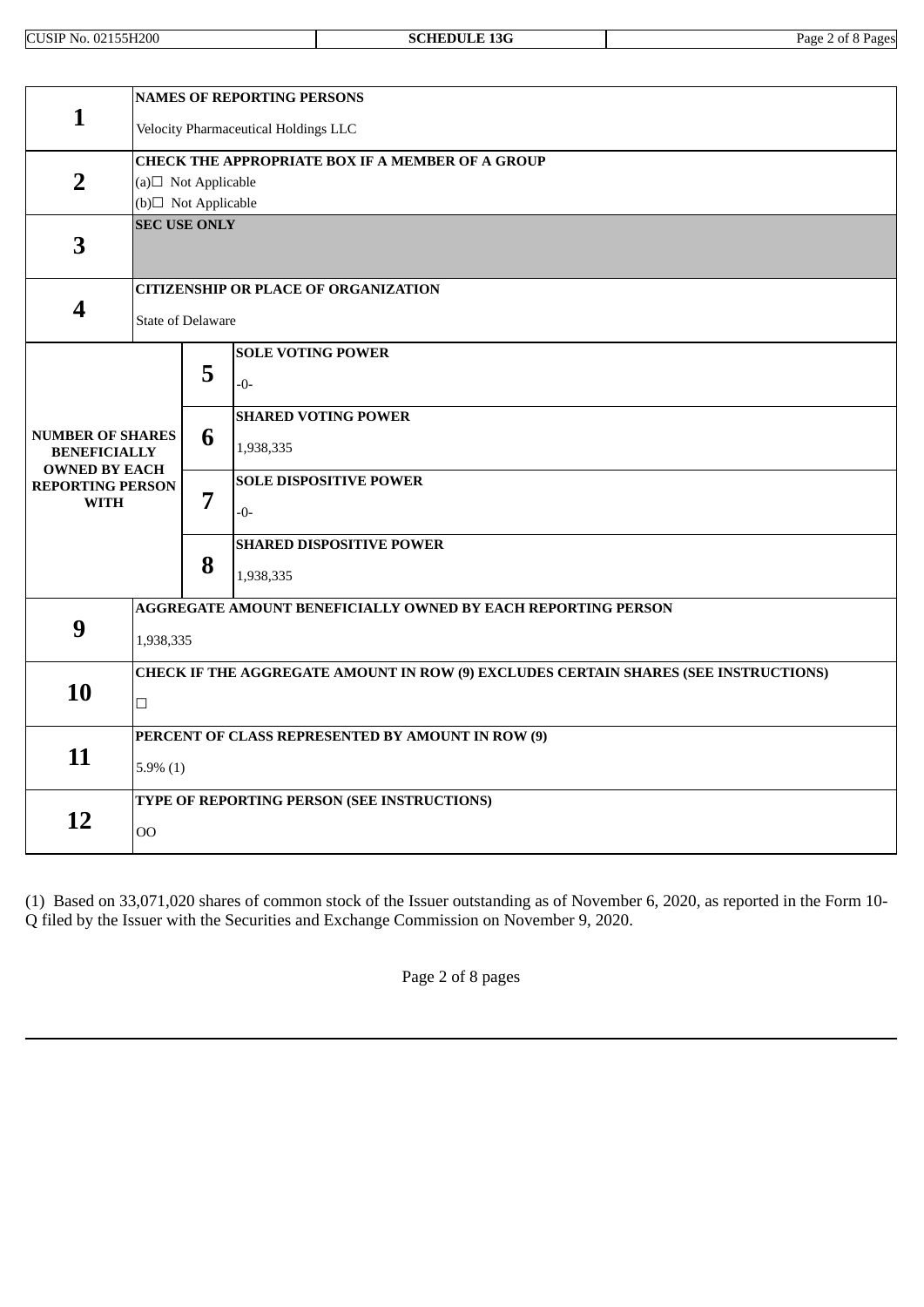|                                                                        | <b>NAMES OF REPORTING PERSONS</b>                                                   |                |                                                              |  |  |
|------------------------------------------------------------------------|-------------------------------------------------------------------------------------|----------------|--------------------------------------------------------------|--|--|
| $\mathbf{1}$                                                           | Velocity Pharmaceutical Holdings LLC                                                |                |                                                              |  |  |
|                                                                        |                                                                                     |                | <b>CHECK THE APPROPRIATE BOX IF A MEMBER OF A GROUP</b>      |  |  |
| $\overline{2}$                                                         | (a) $\Box$ Not Applicable                                                           |                |                                                              |  |  |
|                                                                        | (b)□ Not Applicable                                                                 |                |                                                              |  |  |
| 3                                                                      | <b>SEC USE ONLY</b>                                                                 |                |                                                              |  |  |
|                                                                        | <b>CITIZENSHIP OR PLACE OF ORGANIZATION</b>                                         |                |                                                              |  |  |
| 4                                                                      | <b>State of Delaware</b>                                                            |                |                                                              |  |  |
|                                                                        |                                                                                     |                | <b>SOLE VOTING POWER</b>                                     |  |  |
|                                                                        |                                                                                     | 5              | $-0-$                                                        |  |  |
|                                                                        |                                                                                     |                | <b>SHARED VOTING POWER</b>                                   |  |  |
| <b>NUMBER OF SHARES</b><br><b>BENEFICIALLY</b><br><b>OWNED BY EACH</b> |                                                                                     | 6              | 1,938,335                                                    |  |  |
| <b>REPORTING PERSON</b>                                                |                                                                                     |                | <b>SOLE DISPOSITIVE POWER</b>                                |  |  |
| <b>WITH</b>                                                            |                                                                                     | $\overline{7}$ | $-0-$                                                        |  |  |
|                                                                        |                                                                                     |                | <b>SHARED DISPOSITIVE POWER</b>                              |  |  |
|                                                                        |                                                                                     | 8              | 1,938,335                                                    |  |  |
|                                                                        |                                                                                     |                | AGGREGATE AMOUNT BENEFICIALLY OWNED BY EACH REPORTING PERSON |  |  |
| 9                                                                      | 1,938,335                                                                           |                |                                                              |  |  |
|                                                                        | CHECK IF THE AGGREGATE AMOUNT IN ROW (9) EXCLUDES CERTAIN SHARES (SEE INSTRUCTIONS) |                |                                                              |  |  |
| 10                                                                     | $\Box$                                                                              |                |                                                              |  |  |
|                                                                        | PERCENT OF CLASS REPRESENTED BY AMOUNT IN ROW (9)                                   |                |                                                              |  |  |
| 11                                                                     | $5.9\%$ (1)                                                                         |                |                                                              |  |  |
|                                                                        | TYPE OF REPORTING PERSON (SEE INSTRUCTIONS)                                         |                |                                                              |  |  |
| 12                                                                     | <b>OO</b>                                                                           |                |                                                              |  |  |

(1) Based on 33,071,020 shares of common stock of the Issuer outstanding as of November 6, 2020, as reported in the Form 10- Q filed by the Issuer with the Securities and Exchange Commission on November 9, 2020.

Page 2 of 8 pages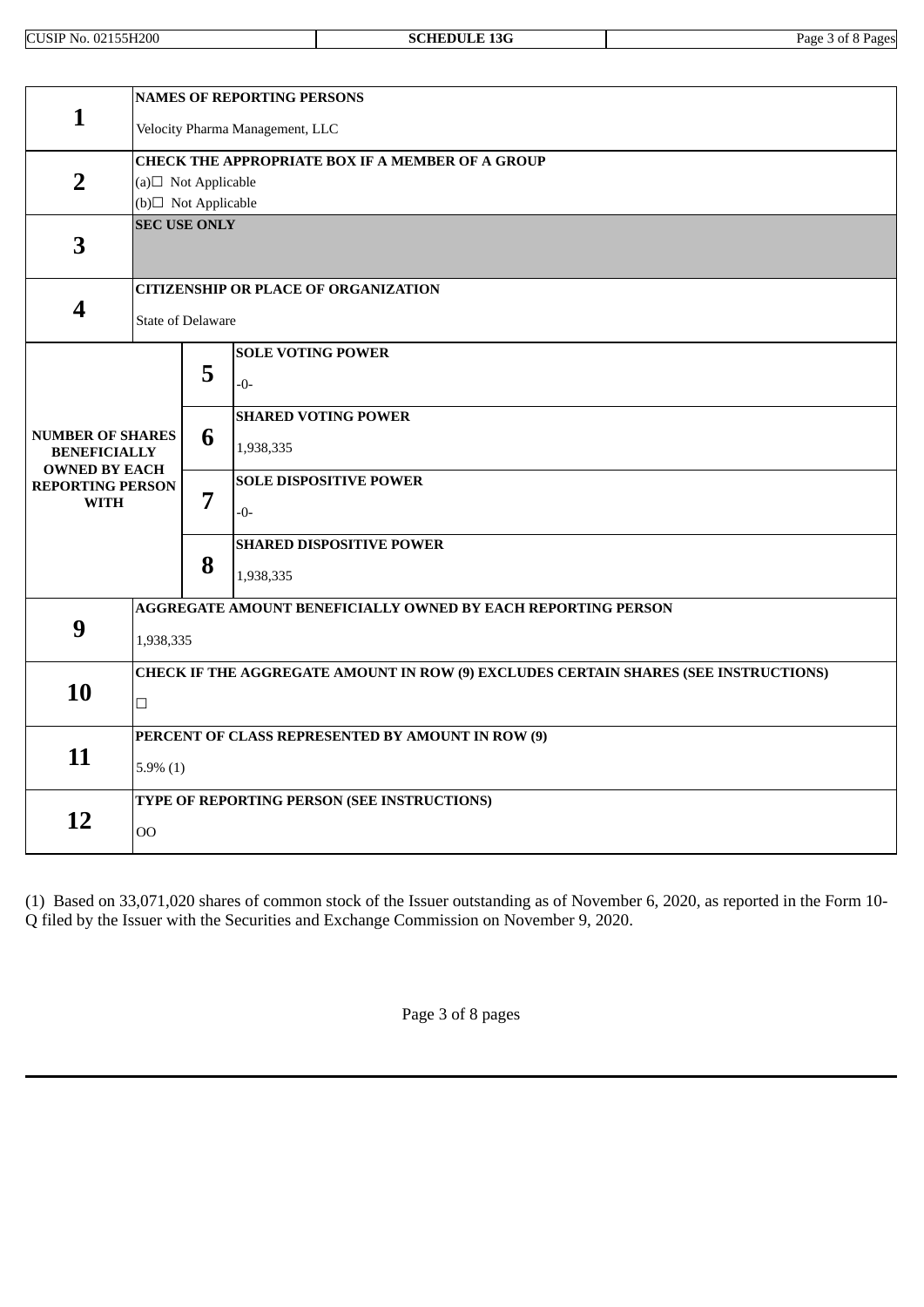|                                                                        | <b>NAMES OF REPORTING PERSONS</b>                                                   |   |                                 |  |  |  |
|------------------------------------------------------------------------|-------------------------------------------------------------------------------------|---|---------------------------------|--|--|--|
| 1                                                                      | Velocity Pharma Management, LLC                                                     |   |                                 |  |  |  |
|                                                                        | <b>CHECK THE APPROPRIATE BOX IF A MEMBER OF A GROUP</b>                             |   |                                 |  |  |  |
| $\overline{2}$                                                         | (a) $\Box$ Not Applicable                                                           |   |                                 |  |  |  |
|                                                                        | (b)□ Not Applicable                                                                 |   |                                 |  |  |  |
| 3                                                                      | <b>SEC USE ONLY</b>                                                                 |   |                                 |  |  |  |
|                                                                        | <b>CITIZENSHIP OR PLACE OF ORGANIZATION</b>                                         |   |                                 |  |  |  |
| 4                                                                      | <b>State of Delaware</b>                                                            |   |                                 |  |  |  |
|                                                                        |                                                                                     |   | <b>SOLE VOTING POWER</b>        |  |  |  |
|                                                                        |                                                                                     | 5 | $-0-$                           |  |  |  |
|                                                                        |                                                                                     |   | <b>SHARED VOTING POWER</b>      |  |  |  |
| <b>NUMBER OF SHARES</b><br><b>BENEFICIALLY</b><br><b>OWNED BY EACH</b> |                                                                                     | 6 | 1,938,335                       |  |  |  |
| <b>REPORTING PERSON</b>                                                |                                                                                     |   | <b>SOLE DISPOSITIVE POWER</b>   |  |  |  |
| <b>WITH</b>                                                            |                                                                                     | 7 | $-0-$                           |  |  |  |
|                                                                        |                                                                                     |   | <b>SHARED DISPOSITIVE POWER</b> |  |  |  |
|                                                                        |                                                                                     | 8 | 1,938,335                       |  |  |  |
|                                                                        | AGGREGATE AMOUNT BENEFICIALLY OWNED BY EACH REPORTING PERSON                        |   |                                 |  |  |  |
| 9                                                                      | 1,938,335                                                                           |   |                                 |  |  |  |
|                                                                        | CHECK IF THE AGGREGATE AMOUNT IN ROW (9) EXCLUDES CERTAIN SHARES (SEE INSTRUCTIONS) |   |                                 |  |  |  |
|                                                                        | 10<br>$\Box$                                                                        |   |                                 |  |  |  |
|                                                                        | PERCENT OF CLASS REPRESENTED BY AMOUNT IN ROW (9)                                   |   |                                 |  |  |  |
| 11                                                                     | $5.9\%$ (1)                                                                         |   |                                 |  |  |  |
|                                                                        | TYPE OF REPORTING PERSON (SEE INSTRUCTIONS)                                         |   |                                 |  |  |  |
| 12                                                                     | O <sub>O</sub>                                                                      |   |                                 |  |  |  |

(1) Based on 33,071,020 shares of common stock of the Issuer outstanding as of November 6, 2020, as reported in the Form 10- Q filed by the Issuer with the Securities and Exchange Commission on November 9, 2020.

Page 3 of 8 pages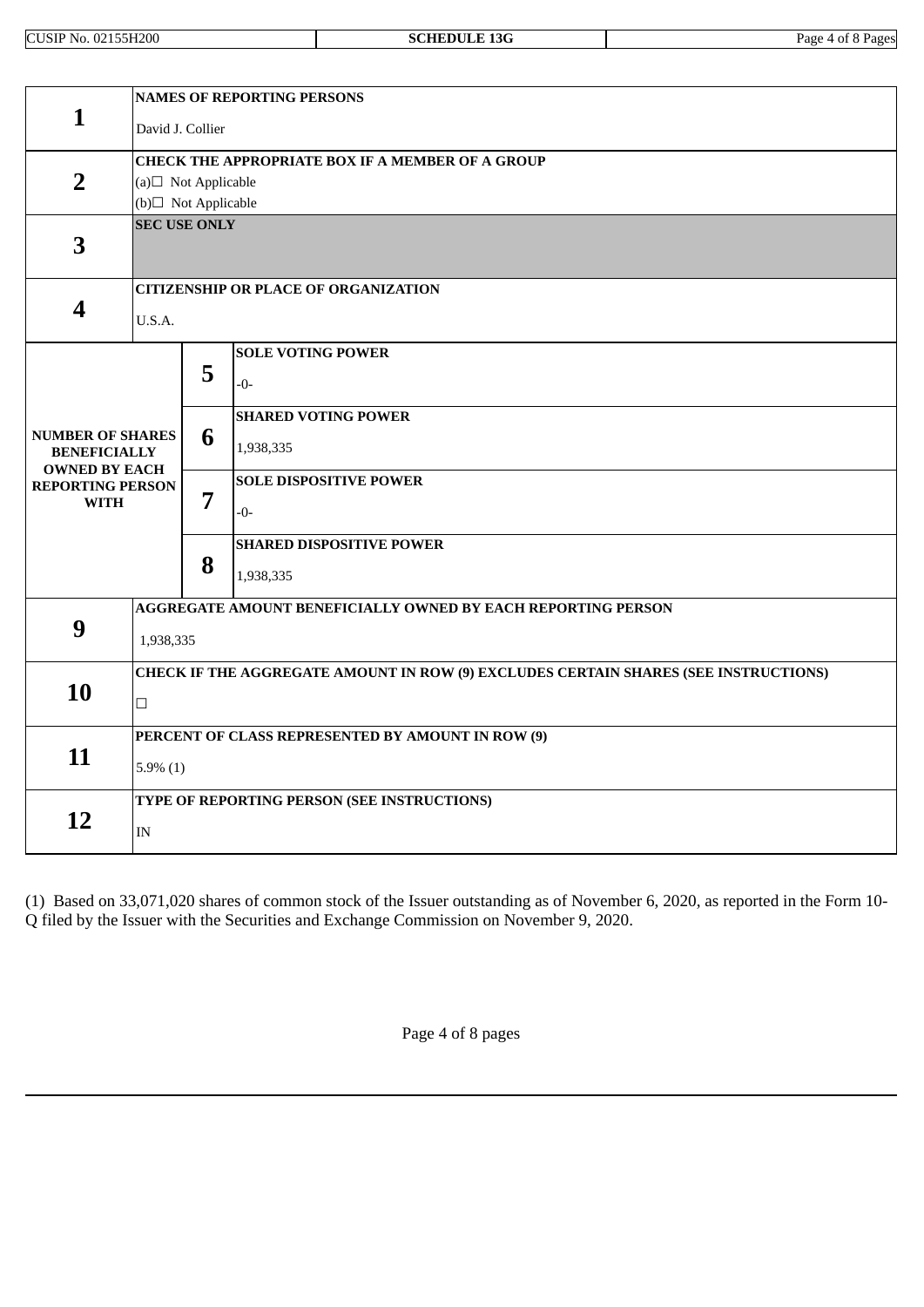CUSIP No. 02155H200 **SCHEDULE 13G** Page 4 of 8 Pages

|                                                                        | <b>NAMES OF REPORTING PERSONS</b>                                                   |                |                                                              |  |  |  |
|------------------------------------------------------------------------|-------------------------------------------------------------------------------------|----------------|--------------------------------------------------------------|--|--|--|
| 1                                                                      | David J. Collier                                                                    |                |                                                              |  |  |  |
|                                                                        | CHECK THE APPROPRIATE BOX IF A MEMBER OF A GROUP                                    |                |                                                              |  |  |  |
| $\overline{2}$                                                         | (a) $\Box$ Not Applicable                                                           |                |                                                              |  |  |  |
|                                                                        | (b)□ Not Applicable                                                                 |                |                                                              |  |  |  |
| 3                                                                      | <b>SEC USE ONLY</b>                                                                 |                |                                                              |  |  |  |
|                                                                        |                                                                                     |                | <b>CITIZENSHIP OR PLACE OF ORGANIZATION</b>                  |  |  |  |
| $\overline{\mathbf{4}}$                                                | U.S.A.                                                                              |                |                                                              |  |  |  |
|                                                                        |                                                                                     |                | <b>SOLE VOTING POWER</b>                                     |  |  |  |
|                                                                        |                                                                                     | 5              | $-0-$                                                        |  |  |  |
|                                                                        |                                                                                     |                | <b>SHARED VOTING POWER</b>                                   |  |  |  |
| <b>NUMBER OF SHARES</b><br><b>BENEFICIALLY</b><br><b>OWNED BY EACH</b> |                                                                                     | 6              | 1,938,335                                                    |  |  |  |
| <b>REPORTING PERSON</b>                                                |                                                                                     |                | <b>SOLE DISPOSITIVE POWER</b>                                |  |  |  |
| <b>WITH</b>                                                            |                                                                                     | $\overline{7}$ | $-0-$                                                        |  |  |  |
|                                                                        |                                                                                     |                | <b>SHARED DISPOSITIVE POWER</b>                              |  |  |  |
|                                                                        |                                                                                     | 8              | 1,938,335                                                    |  |  |  |
|                                                                        |                                                                                     |                | AGGREGATE AMOUNT BENEFICIALLY OWNED BY EACH REPORTING PERSON |  |  |  |
| 9                                                                      | 1,938,335                                                                           |                |                                                              |  |  |  |
|                                                                        | CHECK IF THE AGGREGATE AMOUNT IN ROW (9) EXCLUDES CERTAIN SHARES (SEE INSTRUCTIONS) |                |                                                              |  |  |  |
| 10                                                                     | $\Box$                                                                              |                |                                                              |  |  |  |
|                                                                        | PERCENT OF CLASS REPRESENTED BY AMOUNT IN ROW (9)                                   |                |                                                              |  |  |  |
| 11                                                                     | $5.9\%$ (1)                                                                         |                |                                                              |  |  |  |
|                                                                        | TYPE OF REPORTING PERSON (SEE INSTRUCTIONS)                                         |                |                                                              |  |  |  |
| 12                                                                     | IN                                                                                  |                |                                                              |  |  |  |

(1) Based on 33,071,020 shares of common stock of the Issuer outstanding as of November 6, 2020, as reported in the Form 10- Q filed by the Issuer with the Securities and Exchange Commission on November 9, 2020.

Page 4 of 8 pages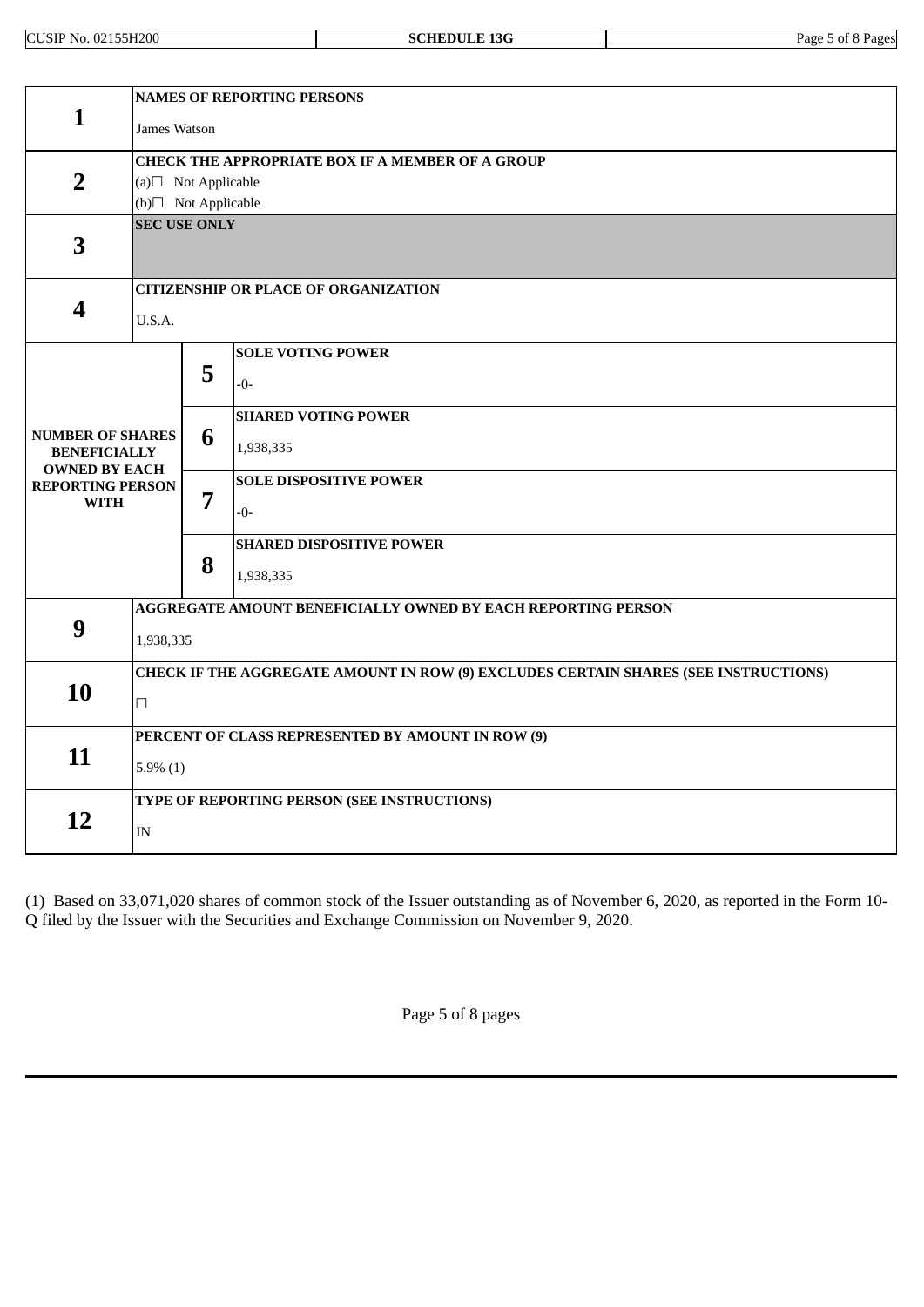CUSIP No. 02155H200 **SCHEDULE 13G** Page 5 of 8 Pages

|                                                                        | <b>NAMES OF REPORTING PERSONS</b>                                                   |                                                              |                                             |  |  |
|------------------------------------------------------------------------|-------------------------------------------------------------------------------------|--------------------------------------------------------------|---------------------------------------------|--|--|
| 1                                                                      | James Watson                                                                        |                                                              |                                             |  |  |
|                                                                        | CHECK THE APPROPRIATE BOX IF A MEMBER OF A GROUP                                    |                                                              |                                             |  |  |
| $\overline{2}$                                                         | (a) $\Box$ Not Applicable                                                           |                                                              |                                             |  |  |
|                                                                        | (b)□ Not Applicable                                                                 |                                                              |                                             |  |  |
| 3                                                                      | <b>SEC USE ONLY</b>                                                                 |                                                              |                                             |  |  |
|                                                                        |                                                                                     |                                                              | <b>CITIZENSHIP OR PLACE OF ORGANIZATION</b> |  |  |
| 4                                                                      | U.S.A.                                                                              |                                                              |                                             |  |  |
|                                                                        |                                                                                     |                                                              | <b>SOLE VOTING POWER</b>                    |  |  |
|                                                                        |                                                                                     | 5                                                            | $-0-$                                       |  |  |
|                                                                        |                                                                                     |                                                              | <b>SHARED VOTING POWER</b>                  |  |  |
| <b>NUMBER OF SHARES</b><br><b>BENEFICIALLY</b><br><b>OWNED BY EACH</b> |                                                                                     | 6                                                            | 1,938,335                                   |  |  |
| <b>REPORTING PERSON</b>                                                |                                                                                     |                                                              | <b>SOLE DISPOSITIVE POWER</b>               |  |  |
| <b>WITH</b>                                                            |                                                                                     | $\overline{7}$                                               | $-0-$                                       |  |  |
|                                                                        |                                                                                     |                                                              | <b>SHARED DISPOSITIVE POWER</b>             |  |  |
|                                                                        |                                                                                     | 8                                                            | 1,938,335                                   |  |  |
|                                                                        |                                                                                     | AGGREGATE AMOUNT BENEFICIALLY OWNED BY EACH REPORTING PERSON |                                             |  |  |
| 9<br>1,938,335                                                         |                                                                                     |                                                              |                                             |  |  |
|                                                                        | CHECK IF THE AGGREGATE AMOUNT IN ROW (9) EXCLUDES CERTAIN SHARES (SEE INSTRUCTIONS) |                                                              |                                             |  |  |
| 10                                                                     | $\Box$                                                                              |                                                              |                                             |  |  |
|                                                                        | PERCENT OF CLASS REPRESENTED BY AMOUNT IN ROW (9)                                   |                                                              |                                             |  |  |
| 11                                                                     | $5.9\%$ (1)                                                                         |                                                              |                                             |  |  |
|                                                                        | TYPE OF REPORTING PERSON (SEE INSTRUCTIONS)                                         |                                                              |                                             |  |  |
| 12                                                                     | IN                                                                                  |                                                              |                                             |  |  |

(1) Based on 33,071,020 shares of common stock of the Issuer outstanding as of November 6, 2020, as reported in the Form 10- Q filed by the Issuer with the Securities and Exchange Commission on November 9, 2020.

Page 5 of 8 pages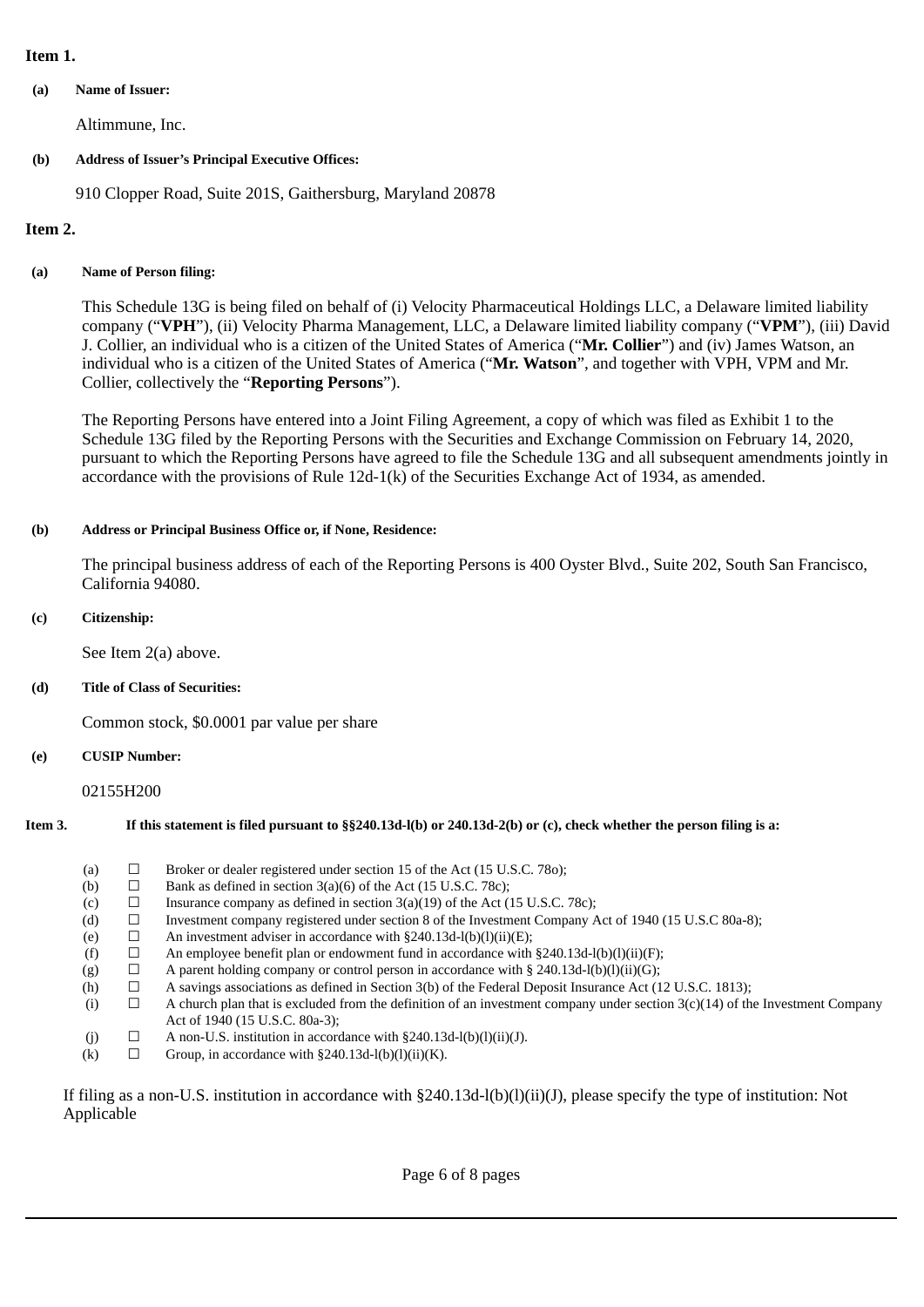# **Item 1.**

**(a) Name of Issuer:**

Altimmune, Inc.

# **(b) Address of Issuer's Principal Executive Offices:**

910 Clopper Road, Suite 201S, Gaithersburg, Maryland 20878

# **Item 2.**

# **(a) Name of Person filing:**

This Schedule 13G is being filed on behalf of (i) Velocity Pharmaceutical Holdings LLC, a Delaware limited liability company ("**VPH**"), (ii) Velocity Pharma Management, LLC, a Delaware limited liability company ("**VPM**"), (iii) David J. Collier, an individual who is a citizen of the United States of America ("**Mr. Collier**") and (iv) James Watson, an individual who is a citizen of the United States of America ("**Mr. Watson**", and together with VPH, VPM and Mr. Collier, collectively the "**Reporting Persons**").

The Reporting Persons have entered into a Joint Filing Agreement, a copy of which was filed as Exhibit 1 to the Schedule 13G filed by the Reporting Persons with the Securities and Exchange Commission on February 14, 2020, pursuant to which the Reporting Persons have agreed to file the Schedule 13G and all subsequent amendments jointly in accordance with the provisions of Rule  $12d-1(k)$  of the Securities Exchange Act of 1934, as amended.

# **(b) Address or Principal Business Office or, if None, Residence:**

The principal business address of each of the Reporting Persons is 400 Oyster Blvd., Suite 202, South San Francisco, California 94080.

# **(c) Citizenship:**

See Item 2(a) above.

## **(d) Title of Class of Securities:**

Common stock, \$0.0001 par value per share

## **(e) CUSIP Number:**

02155H200

# Item 3. If this statement is filed pursuant to §§240.13d-1(b) or 240.13d-2(b) or (c), check whether the person filing is a:

| (a) |   | Broker or dealer registered under section 15 of the Act (15 U.S.C. 780);                                                       |
|-----|---|--------------------------------------------------------------------------------------------------------------------------------|
| (b) | ப | Bank as defined in section 3(a)(6) of the Act (15 U.S.C. 78c);                                                                 |
| (c) | ப | Insurance company as defined in section 3(a)(19) of the Act (15 U.S.C. 78c);                                                   |
| (d) |   | Investment company registered under section 8 of the Investment Company Act of 1940 (15 U.S.C 80a-8);                          |
| (e) |   | An investment adviser in accordance with $\S 240.13d-l(b)(l)(ii)(E);$                                                          |
| (f) | ப | An employee benefit plan or endowment fund in accordance with $\S 240.13d-l(b)(l)(ii)(F);$                                     |
| (g) | ⊔ | A parent holding company or control person in accordance with § 240.13d-l(b)(l)(ii)(G);                                        |
| (h) | ⊔ | A savings associations as defined in Section 3(b) of the Federal Deposit Insurance Act (12 U.S.C. 1813);                       |
| (i) | ⊔ | A church plan that is excluded from the definition of an investment company under section $3(c)(14)$ of the Investment Company |
|     |   | Act of 1940 (15 U.S.C. 80a-3);                                                                                                 |
|     |   | A non-U.S. institution in accordance with §240.13d-l(b)(l)(ii)(J).                                                             |
| (k) |   | Group, in accordance with $\S240.13d-l(b)(l)(ii)(K)$ .                                                                         |
|     |   |                                                                                                                                |
| (j) |   |                                                                                                                                |

If filing as a non-U.S. institution in accordance with §240.13d-l(b)(l)(ii)(J), please specify the type of institution: Not Applicable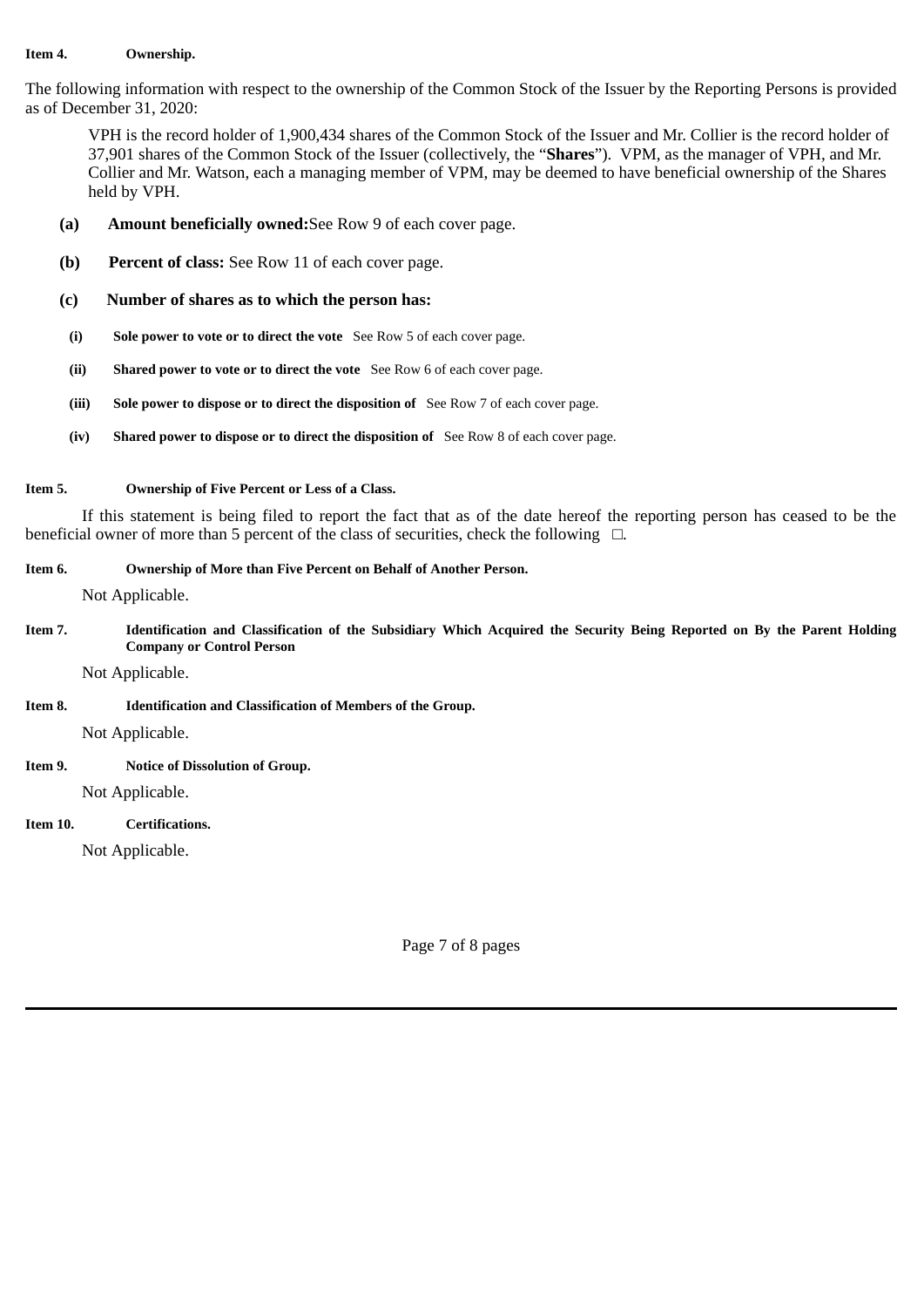## **Item 4. Ownership.**

The following information with respect to the ownership of the Common Stock of the Issuer by the Reporting Persons is provided as of December 31, 2020:

VPH is the record holder of 1,900,434 shares of the Common Stock of the Issuer and Mr. Collier is the record holder of 37,901 shares of the Common Stock of the Issuer (collectively, the "**Shares**"). VPM, as the manager of VPH, and Mr. Collier and Mr. Watson, each a managing member of VPM, may be deemed to have beneficial ownership of the Shares held by VPH.

- **(a) Amount beneficially owned:**See Row 9 of each cover page.
- **(b) Percent of class:** See Row 11 of each cover page.
- **(c) Number of shares as to which the person has:**
- **(i) Sole power to vote or to direct the vote** See Row 5 of each cover page.
- **(ii) Shared power to vote or to direct the vote** See Row 6 of each cover page.
- **(iii) Sole power to dispose or to direct the disposition of** See Row 7 of each cover page.
- **(iv) Shared power to dispose or to direct the disposition of** See Row 8 of each cover page.

## **Item 5. Ownership of Five Percent or Less of a Class.**

If this statement is being filed to report the fact that as of the date hereof the reporting person has ceased to be the beneficial owner of more than 5 percent of the class of securities, check the following  $□$ .

# **Item 6. Ownership of More than Five Percent on Behalf of Another Person.**

Not Applicable.

Item 7. Identification and Classification of the Subsidiary Which Acquired the Security Being Reported on By the Parent Holding **Company or Control Person**

Not Applicable.

**Item 8. Identification and Classification of Members of the Group.**

Not Applicable.

# **Item 9. Notice of Dissolution of Group.**

Not Applicable.

# **Item 10. Certifications.**

Not Applicable.

Page 7 of 8 pages